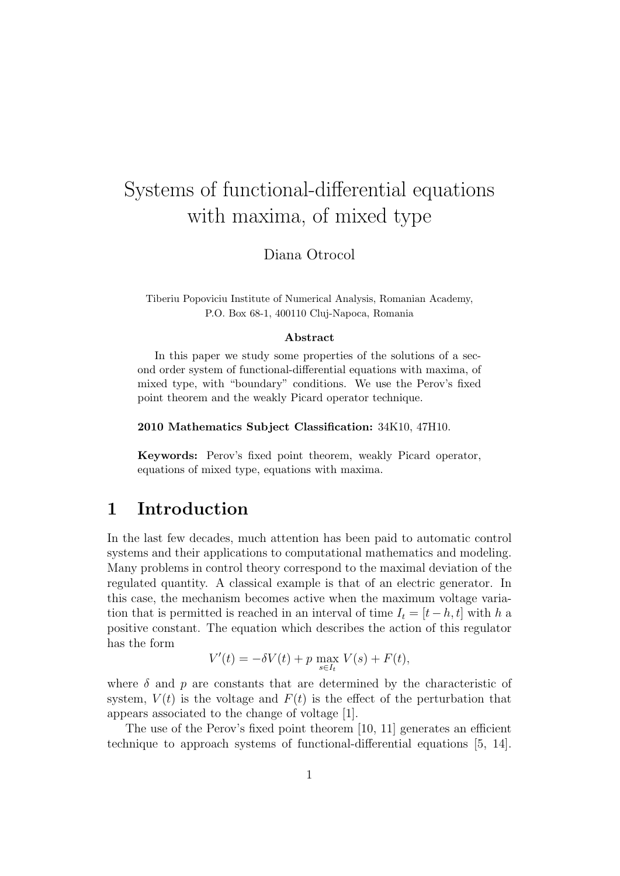# Systems of functional-differential equations with maxima, of mixed type

Diana Otrocol

Tiberiu Popoviciu Institute of Numerical Analysis, Romanian Academy, P.O. Box 68-1, 400110 Cluj-Napoca, Romania

#### **Abstract**

In this paper we study some properties of the solutions of a second order system of functional-differential equations with maxima, of mixed type, with "boundary" conditions. We use the Perov's fixed point theorem and the weakly Picard operator technique.

**2010 Mathematics Subject Classification:** 34K10, 47H10.

**Keywords:** Perov's fixed point theorem, weakly Picard operator, equations of mixed type, equations with maxima.

### **1 Introduction**

In the last few decades, much attention has been paid to automatic control systems and their applications to computational mathematics and modeling. Many problems in control theory correspond to the maximal deviation of the regulated quantity. A classical example is that of an electric generator. In this case, the mechanism becomes active when the maximum voltage variation that is permitted is reached in an interval of time  $I_t = [t-h, t]$  with *h* a positive constant. The equation which describes the action of this regulator has the form

$$
V'(t) = -\delta V(t) + p \max_{s \in I_t} V(s) + F(t),
$$

where  $\delta$  and  $p$  are constants that are determined by the characteristic of system,  $V(t)$  is the voltage and  $F(t)$  is the effect of the perturbation that appears associated to the change of voltage [1].

The use of the Perov's fixed point theorem [10, 11] generates an efficient technique to approach systems of functional-differential equations [5, 14].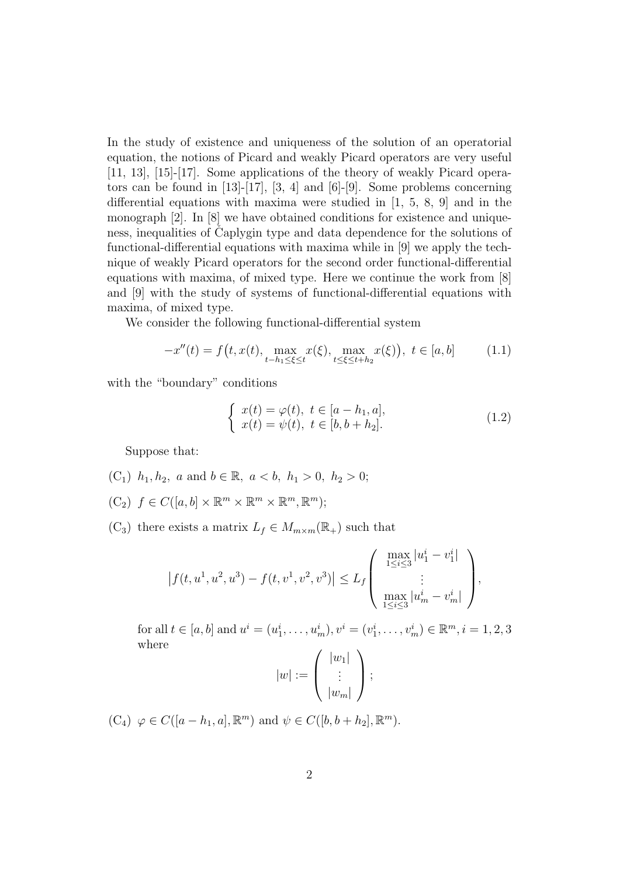In the study of existence and uniqueness of the solution of an operatorial equation, the notions of Picard and weakly Picard operators are very useful [11, 13], [15]-[17]. Some applications of the theory of weakly Picard operators can be found in  $[13]-[17]$ ,  $[3, 4]$  and  $[6]-[9]$ . Some problems concerning differential equations with maxima were studied in [1, 5, 8, 9] and in the monograph [2]. In [8] we have obtained conditions for existence and uniqueness, inequalities of Caplygin type and data dependence for the solutions of functional-differential equations with maxima while in [9] we apply the technique of weakly Picard operators for the second order functional-differential equations with maxima, of mixed type. Here we continue the work from [8] and [9] with the study of systems of functional-differential equations with maxima, of mixed type.

We consider the following functional-differential system

$$
-x''(t) = f(t, x(t), \max_{t-h_1 \le \xi \le t} x(\xi), \max_{t \le \xi \le t+h_2} x(\xi)), \ t \in [a, b]
$$
 (1.1)

with the "boundary" conditions

$$
\begin{cases}\nx(t) = \varphi(t), \ t \in [a - h_1, a], \\
x(t) = \psi(t), \ t \in [b, b + h_2].\n\end{cases}
$$
\n(1.2)

Suppose that:

- (C<sub>1</sub>)  $h_1, h_2, a$  and  $b \in \mathbb{R}, a < b, h_1 > 0, h_2 > 0;$
- $(C_2)$   $f \in C([a, b] \times \mathbb{R}^m \times \mathbb{R}^m \times \mathbb{R}^m, \mathbb{R}^m);$
- $(C_3)$  there exists a matrix  $L_f \in M_{m \times m}(\mathbb{R}_+)$  such that

$$
\left|f(t, u^1, u^2, u^3) - f(t, v^1, v^2, v^3)\right| \le L_f \begin{pmatrix} \max_{1 \le i \le 3} |u_1^i - v_1^i| \\ \vdots \\ \max_{1 \le i \le 3} |u_m^i - v_m^i| \end{pmatrix},
$$

for all  $t \in [a, b]$  and  $u^i = (u^i_1, \dots, u^i_m), v^i = (v^i_1, \dots, v^i_m) \in \mathbb{R}^m, i = 1, 2, 3$ where

$$
|w| := \left(\begin{array}{c} |w_1| \\ \vdots \\ |w_m| \end{array}\right);
$$

 $(C_4) \varphi \in C([a - h_1, a], \mathbb{R}^m)$  and  $\psi \in C([b, b + h_2], \mathbb{R}^m)$ .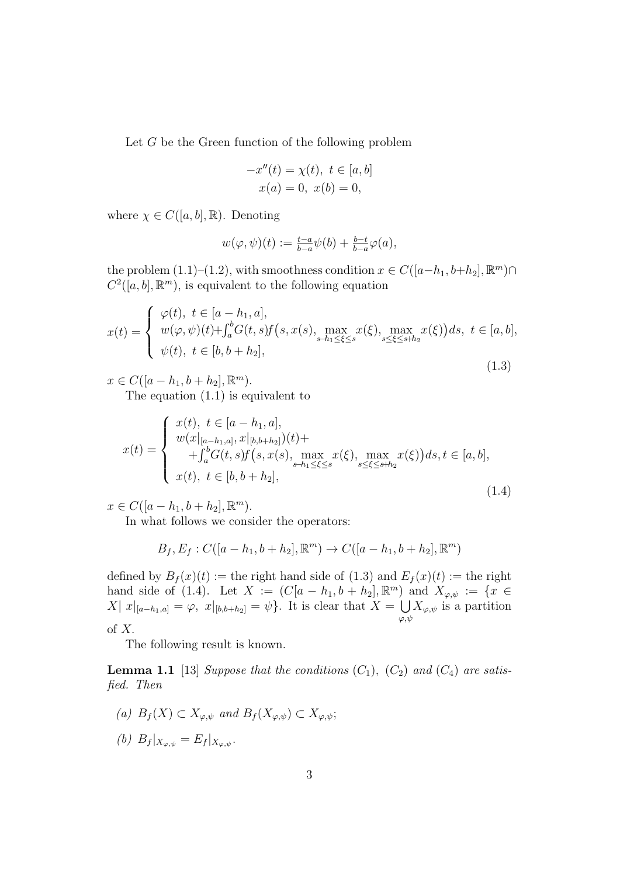Let *G* be the Green function of the following problem

$$
-x''(t) = \chi(t), \ t \in [a, b]
$$

$$
x(a) = 0, \ x(b) = 0,
$$

where  $\chi \in C([a, b], \mathbb{R})$ . Denoting

$$
w(\varphi, \psi)(t) := \frac{t-a}{b-a} \psi(b) + \frac{b-t}{b-a} \varphi(a),
$$

the problem  $(1.1)–(1.2)$ , with smoothness condition  $x \in C([a-h_1, b+h_2], \mathbb{R}^m) \cap$  $C^2([a, b], \mathbb{R}^m)$ , is equivalent to the following equation

$$
x(t) = \begin{cases} \varphi(t), \ t \in [a - h_1, a], \\ w(\varphi, \psi)(t) + \int_a^b G(t, s) f(s, x(s), \max_{s - h_1 \le \xi \le s} x(\xi), \max_{s \le \xi \le s + h_2} x(\xi)) ds, \ t \in [a, b], \\ \psi(t), \ t \in [b, b + h_2], \end{cases}
$$
(1.3)

 $x \in C([a - h_1, b + h_2], \mathbb{R}^m)$ . The equation (1.1) is equivalent to

$$
x(t) = \begin{cases} x(t), \ t \in [a-h_1, a], \\ w(x|_{[a-h_1, a]}, x|_{[b, b+h_2]})(t) + \\ + \int_a^b G(t, s) f(s, x(s), \max_{s-h_1 \le \xi \le s} x(\xi), \max_{s \le \xi \le s+h_2} x(\xi)) ds, t \in [a, b], \\ x(t), \ t \in [b, b+h_2], \end{cases}
$$
(1.4)

 $x \in C([a - h_1, b + h_2], \mathbb{R}^m)$ .

In what follows we consider the operators:

$$
B_f, E_f : C([a - h_1, b + h_2], \mathbb{R}^m) \to C([a - h_1, b + h_2], \mathbb{R}^m)
$$

defined by  $B_f(x)(t) :=$  the right hand side of  $(1.3)$  and  $E_f(x)(t) :=$  the right hand side of (1.4). Let  $X := (C[a - h_1, b + h_2], \mathbb{R}^m)$  and  $X_{\varphi, \psi} := \{x \in$ *X* |  $x|_{[a-h_1,a]} = \varphi, x|_{[b,b+h_2]} = \psi$ }. It is clear that *X* =  $\bigcup$ *φ,ψ*  $X_{\varphi,\psi}$  is a partition of *X.*

The following result is known.

**Lemma 1.1** [13] *Suppose that the conditions*  $(C_1)$ *,*  $(C_2)$  *and*  $(C_4)$  *are satisfied. Then*

*(a)*  $B_f(X)$  ⊂  $X_{\varphi,\psi}$  *and*  $B_f(X_{\varphi,\psi})$  ⊂  $X_{\varphi,\psi}$ ; *(b)*  $B_f|_{X_{\varphi,\psi}} = E_f|_{X_{\varphi,\psi}}$ .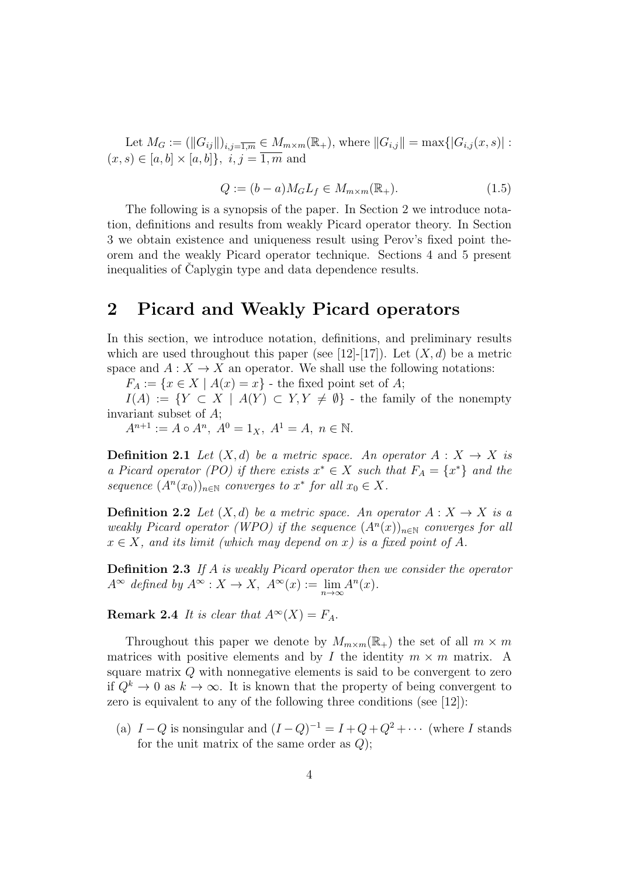Let  $M_G := (||G_{ij}||)_{i,j=\overline{1,m}} \in M_{m \times m}(\mathbb{R}_+),$  where  $||G_{i,j}|| = \max\{|G_{i,j}(x,s)| :$  $(x, s) ∈ [a, b] × [a, b]}, i, j = \overline{1, m}$  and

$$
Q := (b - a)M_G L_f \in M_{m \times m}(\mathbb{R}_+). \tag{1.5}
$$

The following is a synopsis of the paper. In Section 2 we introduce notation, definitions and results from weakly Picard operator theory. In Section 3 we obtain existence and uniqueness result using Perov's fixed point theorem and the weakly Picard operator technique. Sections 4 and 5 present inequalities of Caplygin type and data dependence results.

### **2 Picard and Weakly Picard operators**

In this section, we introduce notation, definitions, and preliminary results which are used throughout this paper (see [12]-[17]). Let  $(X, d)$  be a metric space and  $A: X \to X$  an operator. We shall use the following notations:

 $F_A := \{x \in X \mid A(x) = x\}$  - the fixed point set of *A*;

*I*(*A*) := *{Y ⊂ X | A*(*Y*) *⊂ Y,Y*  $\neq$  *Ø*} - the family of the nonempty invariant subset of *A*;

 $A^{n+1} := A \circ A^n$ ,  $A^0 = 1_X$ ,  $A^1 = A$ ,  $n \in \mathbb{N}$ .

**Definition 2.1** *Let*  $(X,d)$  *be a metric space. An operator*  $A: X \rightarrow X$  *is a Picard operator (PO) if there exists*  $x^* \in X$  *such that*  $F_A = \{x^*\}$  *and the sequence*  $(A^n(x_0))_{n \in \mathbb{N}}$  *converges to*  $x^*$  *for all*  $x_0 \in X$ *.* 

**Definition 2.2** *Let*  $(X,d)$  *be a metric space. An operator*  $A: X \to X$  *is a weakly Picard operator (WPO) if the sequence*  $(A<sup>n</sup>(x))_{n\in\mathbb{N}}$  *converges for all*  $x \in X$ *, and its limit (which may depend on x) is a fixed point of A.* 

**Definition 2.3** *If A is weakly Picard operator then we consider the operator*  $A^{\infty}$  *defined by*  $A^{\infty}: X \to X$ ,  $A^{\infty}(x) := \lim_{n \to \infty} A^n(x)$ *.* 

**Remark 2.4** *It is clear that*  $A^{\infty}(X) = F_A$ .

Throughout this paper we denote by  $M_{m \times m}(\mathbb{R}_+)$  the set of all  $m \times m$ matrices with positive elements and by *I* the identity  $m \times m$  matrix. A square matrix *Q* with nonnegative elements is said to be convergent to zero if  $Q^k \to 0$  as  $k \to \infty$ . It is known that the property of being convergent to zero is equivalent to any of the following three conditions (see [12]):

(a)  $I - Q$  is nonsingular and  $(I - Q)^{-1} = I + Q + Q^2 + \cdots$  (where *I* stands for the unit matrix of the same order as *Q*);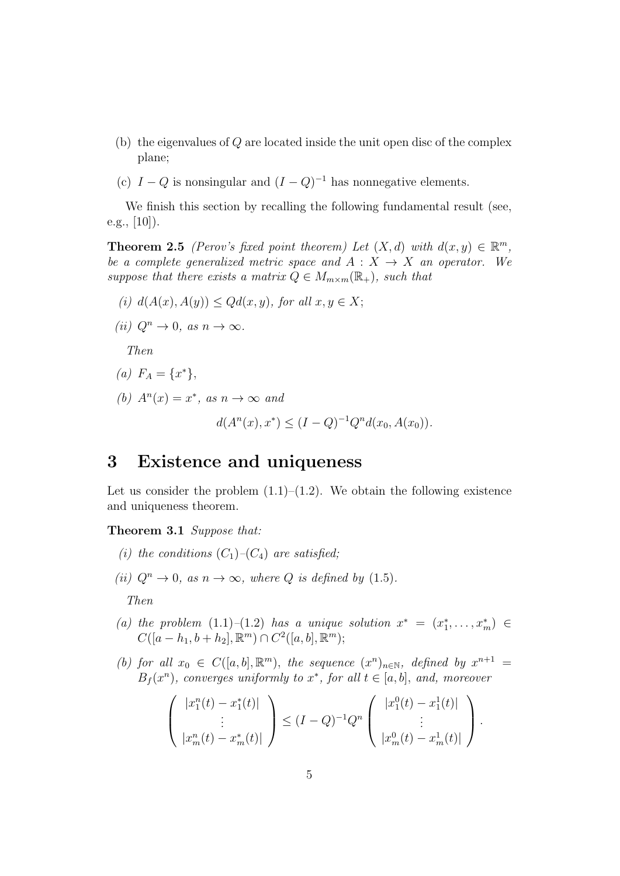- (b) the eigenvalues of *Q* are located inside the unit open disc of the complex plane;
- (c)  $I Q$  is nonsingular and  $(I Q)^{-1}$  has nonnegative elements.

We finish this section by recalling the following fundamental result (see, e.g.,  $[10]$ ).

**Theorem 2.5** *(Perov's fixed point theorem)* Let  $(X, d)$  with  $d(x, y) \in \mathbb{R}^m$ , *be a complete generalized metric space and*  $A: X \rightarrow X$  *an operator.* We *suppose that there exists a matrix*  $Q \in M_{m \times m}(\mathbb{R}_+)$ *, such that* 

(i) 
$$
d(A(x), A(y)) \le Qd(x, y)
$$
, for all  $x, y \in X$ ;

 $(iii)$   $Q^n \rightarrow 0$ , as  $n \rightarrow \infty$ .

*Then*

$$
(a) F_A = \{x^*\},
$$

*(b)*  $A^n(x) = x^*$ , as  $n \to \infty$  and

$$
d(A^{n}(x), x^{*}) \leq (I - Q)^{-1}Q^{n}d(x_0, A(x_0)).
$$

### **3 Existence and uniqueness**

Let us consider the problem  $(1.1)$ – $(1.2)$ . We obtain the following existence and uniqueness theorem.

**Theorem 3.1** *Suppose that:*

- *(i)* the conditions  $(C_1)$ – $(C_4)$  are satisfied;
- *(ii)*  $Q^n \to 0$ *, as*  $n \to \infty$ *, where*  $Q$  *is defined by* (1.5)*.*

*Then*

- *(a) the problem*  $(1.1)-(1.2)$  *has a unique solution*  $x^* = (x_1^*, \ldots, x_m^*) \in$  $C([a - h_1, b + h_2], \mathbb{R}^m) \cap C^2([a, b], \mathbb{R}^m);$
- *(b) for all*  $x_0 \in C([a, b], \mathbb{R}^m)$ *, the sequence*  $(x^n)_{n \in \mathbb{N}}$ *, defined by*  $x^{n+1} =$  $B_f(x^n)$ *, converges uniformly to*  $x^*$ *, for all*  $t \in [a, b]$ *, and, moreover*

$$
\begin{pmatrix} |x_1^n(t) - x_1^*(t)| \\ \vdots \\ |x_m^n(t) - x_m^*(t)| \end{pmatrix} \leq (I - Q)^{-1} Q^n \begin{pmatrix} |x_1^0(t) - x_1^1(t)| \\ \vdots \\ |x_m^0(t) - x_m^1(t)| \end{pmatrix}.
$$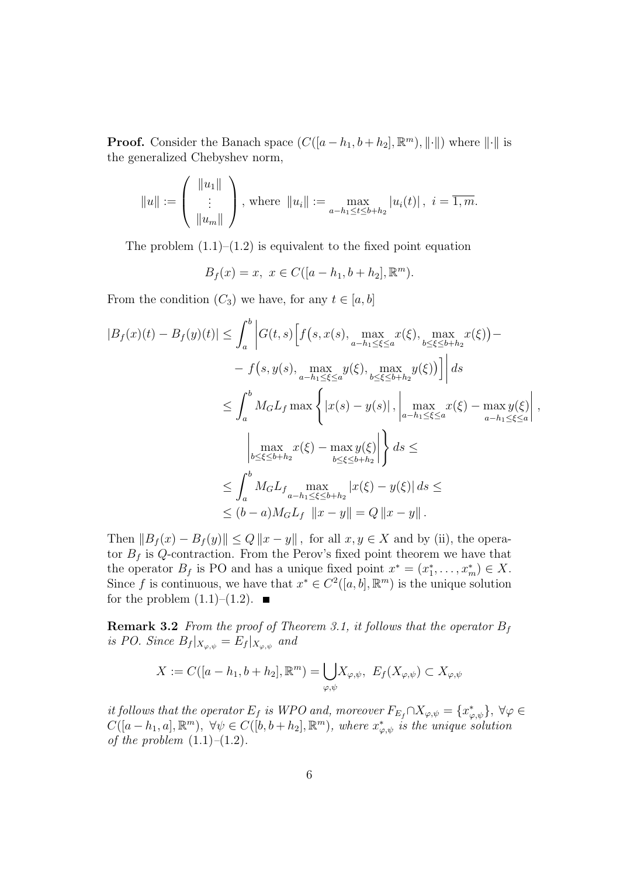**Proof.** Consider the Banach space  $(C([a - h_1, b + h_2], \mathbb{R}^m), ||\cdot||)$  where  $||\cdot||$  is the generalized Chebyshev norm,

$$
||u|| := \begin{pmatrix} ||u_1|| \\ \vdots \\ ||u_m|| \end{pmatrix}
$$
, where  $||u_i|| := \max_{a-h_1 \le t \le b+h_2} |u_i(t)|$ ,  $i = \overline{1,m}$ .

The problem  $(1.1)$ – $(1.2)$  is equivalent to the fixed point equation

$$
B_f(x) = x, \ x \in C([a - h_1, b + h_2], \mathbb{R}^m).
$$

From the condition  $(C_3)$  we have, for any  $t \in [a, b]$ 

$$
|B_f(x)(t) - B_f(y)(t)| \leq \int_a^b |G(t,s) \Big[ f(s, x(s), \max_{a-h_1 \leq \xi \leq a} x(\xi), \max_{b \leq \xi \leq b+h_2} x(\xi) - f(s, y(s), \max_{a-h_1 \leq \xi \leq a} y(\xi), \max_{b \leq \xi \leq b+h_2} y(\xi)) \Big] ds
$$
  

$$
\leq \int_a^b M_G L_f \max \left\{ |x(s) - y(s)|, \left| \max_{a-h_1 \leq \xi \leq a} x(\xi) - \max_{a-h_1 \leq \xi \leq a} y(\xi) \right|, \left| \max_{a-h_1 \leq \xi \leq a} x(\xi) - \max_{a-h_1 \leq \xi \leq a} y(\xi) \right| \right\} ds
$$
  

$$
\leq \int_a^b M_G L_f \max_{a-h_1 \leq \xi \leq b+h_2} |x(\xi) - y(\xi)| ds \leq
$$
  

$$
\leq (b-a) M_G L_f \|x - y\| = Q \|x - y\|.
$$

Then  $||B_f(x) - B_f(y)|| \leq Q ||x - y||$ , for all  $x, y \in X$  and by (ii), the operator  $B_f$  is Q-contraction. From the Perov's fixed point theorem we have that the operator  $B_f$  is PO and has a unique fixed point  $x^* = (x_1^*, \ldots, x_m^*) \in X$ . Since *f* is continuous, we have that  $x^* \in C^2([a, b], \mathbb{R}^m)$  is the unique solution for the problem  $(1.1)$ – $(1.2)$ .

**Remark 3.2** *From the proof of Theorem 3.1, it follows that the operator*  $B_f$ *is PO. Since*  $B_f|_{X_{\varphi,\psi}} = E_f|_{X_{\varphi,\psi}}$  and

$$
X := C([a - h_1, b + h_2], \mathbb{R}^m) = \bigcup_{\varphi, \psi} X_{\varphi, \psi}, \ E_f(X_{\varphi, \psi}) \subset X_{\varphi, \psi}
$$

*it follows that the operator*  $E_f$  *is WPO and, moreover*  $F_{E_f} \cap X_{\varphi,\psi} = \{x_{\varphi,\psi}^*\}, \forall \varphi \in$  $C([a-h_1,a],\mathbb{R}^m), \forall \psi \in C([b,b+h_2],\mathbb{R}^m),$  where  $x^*_{\varphi,\psi}$  is the unique solution *of the problem* (1.1)*–*(1.2)*.*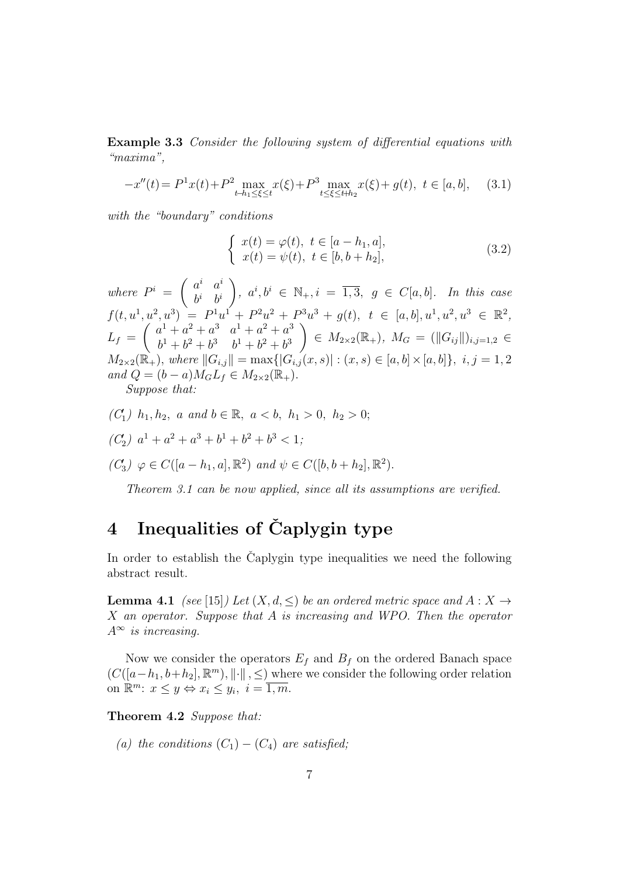**Example 3.3** *Consider the following system of differential equations with "maxima",*

$$
-x''(t) = P^{1}x(t) + P^{2} \max_{t-h_1 \le \xi \le t} x(\xi) + P^{3} \max_{t \le \xi \le t+h_2} x(\xi) + g(t), \quad t \in [a, b], \quad (3.1)
$$

*with the "boundary" conditions*

$$
\begin{cases}\n x(t) = \varphi(t), \ t \in [a - h_1, a], \\
 x(t) = \psi(t), \ t \in [b, b + h_2],\n\end{cases}
$$
\n(3.2)

*where*  $P^i = \begin{pmatrix} a^i & a^i \\ b^i & b^i \end{pmatrix}$  $b^i$   $b^i$  $\Big), a^i, b^i \in \mathbb{N}_+, i = \overline{1,3}, g \in C[a, b].$  In this case  $f(t, u^1, u^2, u^3) = P^1u^1 + P^2u^2 + P^3u^3 + g(t), t \in [a, b], u^1, u^2, u^3 \in \mathbb{R}^2,$  $L_f = \begin{pmatrix} a^1 + a^2 + a^3 & a^1 + a^2 + a^3 \\ b^1 + b^2 + b^3 & b^1 + b^2 + b^3 \end{pmatrix}$  $b^1 + b^2 + b^3$   $b^1 + b^2 + b^3$  $\left(\|G_{ij}\|_{i,j=1,2}\right)$  ∈  $M_{2\times 2}(\mathbb{R}_+), M_G = (\|G_{ij}\|)_{i,j=1,2}$  ∈  $M_{2\times 2}(\mathbb{R}_{+}),$  where  $||G_{i,j}|| = \max\{|G_{i,j}(x,s)|:(x,s)\in [a,b]\times [a,b]\},\ i,j=1,2$  $and Q = (b - a)M_G L_f \in M_{2 \times 2}(\mathbb{R}_+).$ 

*Suppose that:*

- *(C*<sup>*′*</sup><sub>1</sub>) *h*<sub>1</sub>*, h*<sub>2</sub>*, a and b* ∈ ℝ*, a* < *b, h*<sub>1</sub> > 0*, h*<sub>2</sub> > 0;
- $(C_2)$   $a^1 + a^2 + a^3 + b^1 + b^2 + b^3 < 1;$

 $(C_3) \varphi \in C([a - h_1, a], \mathbb{R}^2)$  *and*  $\psi \in C([b, b + h_2], \mathbb{R}^2)$ *.* 

*Theorem 3.1 can be now applied, since all its assumptions are verified.*

## **4 Inequalities of Caplygin type ˇ**

In order to establish the Caplygin type inequalities we need the following abstract result.

**Lemma 4.1** *(see* [15]*) Let*  $(X, d, \leq)$  *be an ordered metric space and*  $A: X \to Y$ *X an operator. Suppose that A is increasing and WPO. Then the operator A<sup>∞</sup> is increasing.*

Now we consider the operators  $E_f$  and  $B_f$  on the ordered Banach space  $(C([a-h_1,b+h_2],\mathbb{R}^m),\|\cdot\|, ≤)$  where we consider the following order relation on  $\mathbb{R}^m$ :  $x \leq y \Leftrightarrow x_i \leq y_i$ ,  $i = \overline{1, m}$ .

**Theorem 4.2** *Suppose that:*

*(a) the conditions*  $(C_1) - (C_4)$  *are satisfied;*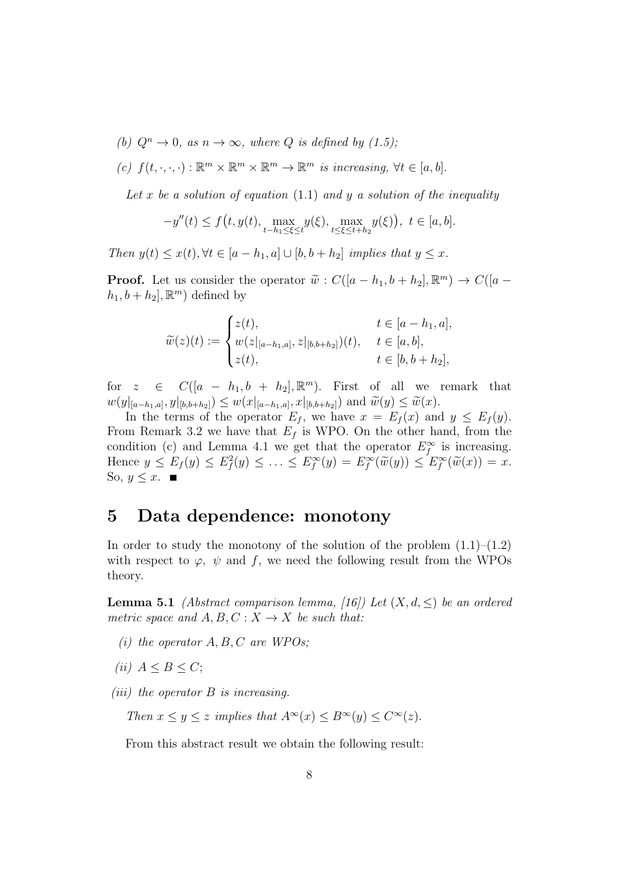- *(b)*  $Q^n \to 0$ , as  $n \to \infty$ , where  $Q$  *is defined by (1.5);*
- $f(t, \cdot, \cdot, \cdot) : \mathbb{R}^m \times \mathbb{R}^m \times \mathbb{R}^m \to \mathbb{R}^m$  *is increasing,*  $\forall t \in [a, b]$ .

*Let x be a solution of equation* (1.1) *and y a solution of the inequality*

$$
-y''(t) \le f(t, y(t), \max_{t-h_1 \le \xi \le t} y(\xi), \max_{t \le \xi \le t+h_2} y(\xi)), \ t \in [a, b].
$$

*Then*  $y(t) \leq x(t)$ ,  $\forall t \in [a - h_1, a] \cup [b, b + h_2]$  *implies that*  $y \leq x$ *.* 

**Proof.** Let us consider the operator  $\widetilde{w}$  :  $C([a-h_1, b+h_2], \mathbb{R}^m) \rightarrow C([a-h_1, b+h_2], \mathbb{R}^m)$  $h_1, b + h_2$ ,  $\mathbb{R}^m$ ) defined by

$$
\widetilde{w}(z)(t) := \begin{cases} z(t), & t \in [a-h_1, a], \\ w(z|_{[a-h_1, a]}, z|_{[b,b+h_2]})(t), & t \in [a, b], \\ z(t), & t \in [b, b+h_2], \end{cases}
$$

for  $z \in C([a - h_1, b + h_2], \mathbb{R}^m)$ . First of all we remark that  $w(y|_{[a-h_1,a]},y|_{[b,b+h_2]}) \leq w(x|_{[a-h_1,a]},x|_{[b,b+h_2]})$  and  $\widetilde{w}(y) \leq \widetilde{w}(x)$ .<br>In the terms of the operator  $F_{\epsilon}$ , we have  $x = F_{\epsilon}(x)$  and

In the terms of the operator  $E_f$ , we have  $x = E_f(x)$  and  $y \le E_f(y)$ . From Remark 3.2 we have that  $E_f$  is WPO. On the other hand, from the condition (c) and Lemma 4.1 we get that the operator  $E_f^{\infty}$  is increasing. Hence  $y \le E_f(y) \le E_f^2(y) \le \ldots \le E_f^{\infty}(y) = E_f^{\infty}(\widetilde{w}(y)) \le E_f^{\infty}(\widetilde{w}(x)) = x$ .<br>So  $y \le x$ So,  $y \leq x$ . ■

### **5 Data dependence: monotony**

In order to study the monotony of the solution of the problem  $(1.1)$ – $(1.2)$ with respect to  $\varphi$ ,  $\psi$  and f, we need the following result from the WPOs theory.

**Lemma 5.1** *(Abstract comparison lemma, [16]) Let*  $(X, d, \leq)$  *be an ordered metric space and*  $A, B, C: X \rightarrow X$  *be such that:* 

- *(i) the operator A, B, C are WPOs;*
- $(iii)$   $A \leq B \leq C$ ;

*(iii) the operator B is increasing.*

*Then*  $x \leq y \leq z$  *implies that*  $A^{\infty}(x) \leq B^{\infty}(y) \leq C^{\infty}(z)$ *.* 

From this abstract result we obtain the following result: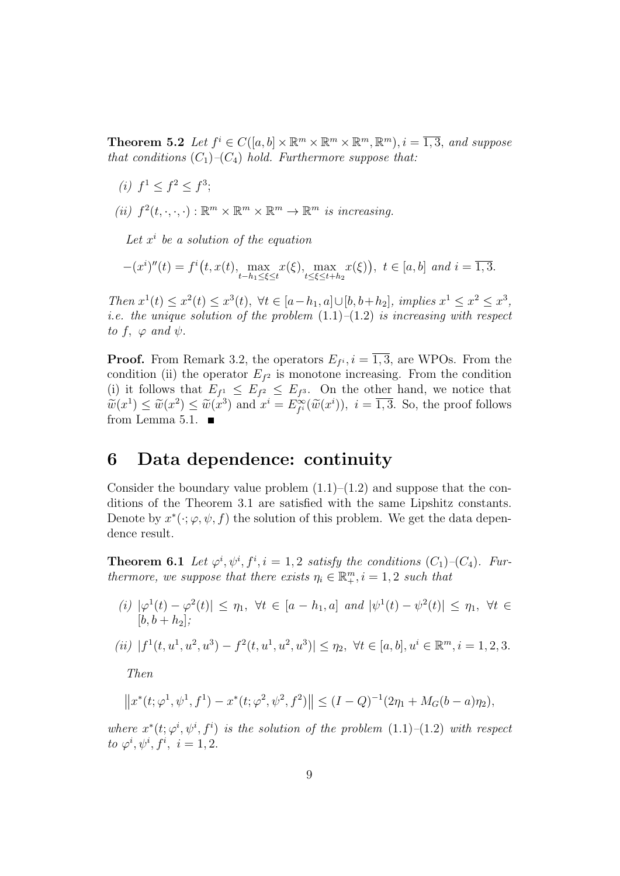**Theorem 5.2** *Let*  $f^i \in C([a, b] \times \mathbb{R}^m \times \mathbb{R}^m \times \mathbb{R}^m, \mathbb{R}^m), i = \overline{1, 3},$  *and suppose that conditions*  $(C_1)$ *–* $(C_4)$  *hold. Furthermore suppose that:* 

- $(i) f<sup>1</sup> \leq f<sup>2</sup> \leq f<sup>3</sup>;$
- (*ii*)  $f^2(t, \cdot, \cdot, \cdot) : \mathbb{R}^m \times \mathbb{R}^m \times \mathbb{R}^m \to \mathbb{R}^m$  *is increasing.*

Let  $x^i$  be a solution of the equation

$$
-(x^i)''(t) = f^i(t, x(t), \max_{t-h_1 \le \xi \le t} x(\xi), \max_{t \le \xi \le t+h_2} x(\xi)), \ t \in [a, b] \ and \ i = \overline{1, 3}.
$$

Then  $x^1(t) \le x^2(t) \le x^3(t)$ ,  $\forall t \in [a-h_1, a] \cup [b, b+h_2]$ , implies  $x^1 \le x^2 \le x^3$ , *i.e. the unique solution of the problem* (1.1)*–*(1.2) *is increasing with respect to*  $f$ ,  $\varphi$  *and*  $\psi$ .

**Proof.** From Remark 3.2, the operators  $E_{f^i}$ ,  $i = \overline{1,3}$ , are WPOs. From the condition (ii) the operator  $E_f$ <sup>2</sup> is monotone increasing. From the condition (i) it follows that  $E_{f^1} \leq E_{f^2} \leq E_{f^3}$ . On the other hand, we notice that  $\widetilde{w}(x^1) \leq \widetilde{w}(x^2) \leq \widetilde{w}(x^3)$  and  $x^i = E_{f^i}^{\infty}(\widetilde{w}(x^i)), i = \overline{1,3}$ . So, the proof follows from Lamma 5.1 from Lemma 5.1.  $\blacksquare$ 

### **6 Data dependence: continuity**

Consider the boundary value problem  $(1.1)$ – $(1.2)$  and suppose that the conditions of the Theorem 3.1 are satisfied with the same Lipshitz constants. Denote by  $x^*(\cdot; \varphi, \psi, f)$  the solution of this problem. We get the data dependence result.

**Theorem 6.1** *Let*  $\varphi^i, \psi^i, f^i, i = 1, 2$  *satisfy the conditions*  $(C_1)$ *–* $(C_4)$ *. Furthermore, we suppose that there exists*  $\eta_i \in \mathbb{R}_+^m$ ,  $i = 1, 2$  *such that* 

(i)  $|\varphi^1(t) - \varphi^2(t)| \leq \eta_1$ ,  $\forall t \in [a - h_1, a]$  and  $|\psi^1(t) - \psi^2(t)| \leq \eta_1$ ,  $\forall t \in$  $[b, b + h_2]$ ;

(*ii*) 
$$
|f^1(t, u^1, u^2, u^3) - f^2(t, u^1, u^2, u^3)| \le \eta_2, \ \forall t \in [a, b], u^i \in \mathbb{R}^m, i = 1, 2, 3.
$$

*Then*

$$
||x^*(t; \varphi^1, \psi^1, f^1) - x^*(t; \varphi^2, \psi^2, f^2)|| \le (I - Q)^{-1}(2\eta_1 + M_G(b - a)\eta_2),
$$

*where*  $x^*(t; \varphi^i, \psi^i, f^i)$  *is the solution of the problem*  $(1.1)$ – $(1.2)$  *with respect to*  $\varphi^i, \psi^i, f^i, i = 1, 2$ *.*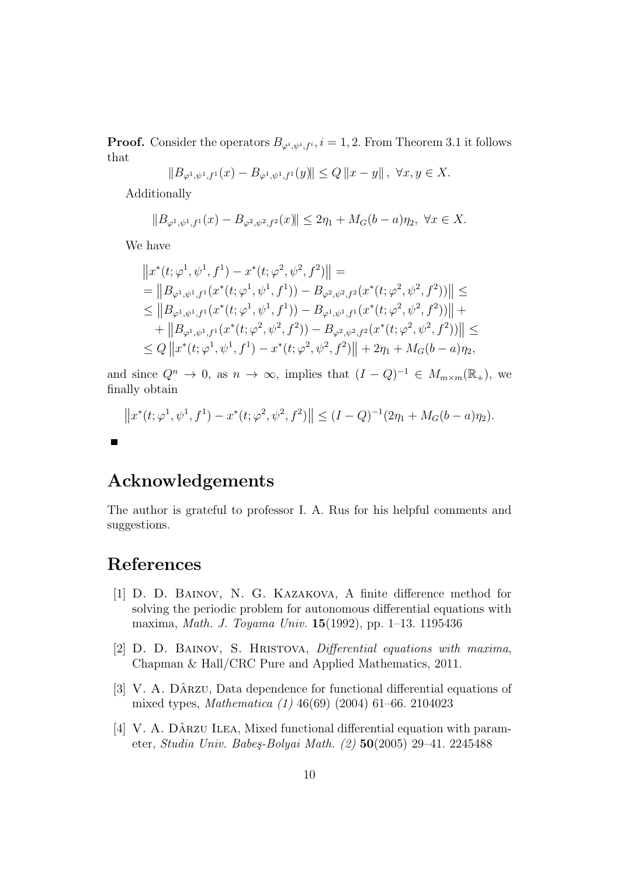**Proof.** Consider the operators  $B_{\varphi^i, \psi^i, f^i}$ ,  $i = 1, 2$ . From Theorem 3.1 it follows that

$$
||B_{\varphi^1, \psi^1, f^1}(x) - B_{\varphi^1, \psi^1, f^1}(y)|| \le Q ||x - y||, \ \forall x, y \in X.
$$

Additionally

$$
||B_{\varphi^1, \psi^1, f^1}(x) - B_{\varphi^2, \psi^2, f^2}(x)|| \le 2\eta_1 + M_G(b-a)\eta_2, \ \forall x \in X.
$$

We have

$$
||x^*(t; \varphi^1, \psi^1, f^1) - x^*(t; \varphi^2, \psi^2, f^2)|| =
$$
  
\n
$$
= ||B_{\varphi^1, \psi^1, f^1}(x^*(t; \varphi^1, \psi^1, f^1)) - B_{\varphi^2, \psi^2, f^2}(x^*(t; \varphi^2, \psi^2, f^2))|| \le
$$
  
\n
$$
\leq ||B_{\varphi^1, \psi^1, f^1}(x^*(t; \varphi^1, \psi^1, f^1)) - B_{\varphi^1, \psi^1, f^1}(x^*(t; \varphi^2, \psi^2, f^2))|| +
$$
  
\n
$$
+ ||B_{\varphi^1, \psi^1, f^1}(x^*(t; \varphi^2, \psi^2, f^2)) - B_{\varphi^2, \psi^2, f^2}(x^*(t; \varphi^2, \psi^2, f^2))|| \le
$$
  
\n
$$
\leq Q ||x^*(t; \varphi^1, \psi^1, f^1) - x^*(t; \varphi^2, \psi^2, f^2)|| + 2\eta_1 + M_G(b - a)\eta_2,
$$

and since  $Q^n \to 0$ , as  $n \to \infty$ , implies that  $(I - Q)^{-1} \in M_{m \times m}(\mathbb{R}_+)$ , we finally obtain

$$
||x^*(t; \varphi^1, \psi^1, f^1) - x^*(t; \varphi^2, \psi^2, f^2)|| \le (I - Q)^{-1}(2\eta_1 + M_G(b - a)\eta_2).
$$

### **Acknowledgements**

The author is grateful to professor I. A. Rus for his helpful comments and suggestions.

### **References**

 $\blacksquare$ 

- [1] D. D. Bainov, N. G. Kazakova, A finite difference method for solving the periodic problem for autonomous differential equations with maxima, *Math. J. Toyama Univ.* **15**(1992), pp. 1–13. 1195436
- [2] D. D. Bainov, S. Hristova, *Differential equations with maxima*, Chapman & Hall/CRC Pure and Applied Mathematics, 2011.
- [3] V. A. DÂRZU, Data dependence for functional differential equations of mixed types, *Mathematica (1)* 46(69) (2004) 61–66. 2104023
- [4] V. A. DÂRZU ILEA, Mixed functional differential equation with parameter, *Studia Univ. Babe¸s-Bolyai Math. (2)* **50**(2005) 29–41. 2245488